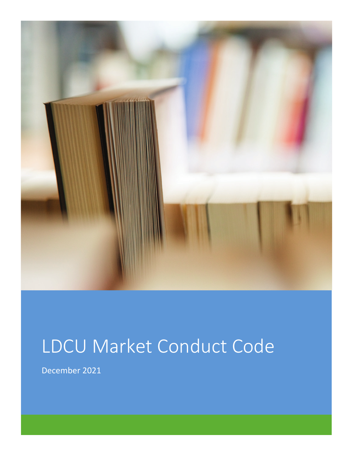

# LDCU Market Conduct Code

December 2021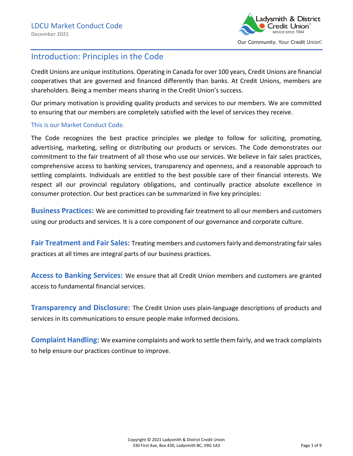

# Introduction: Principles in the Code

Credit Unions are unique institutions. Operating in Canada for over 100 years, Credit Unions are financial cooperatives that are governed and financed differently than banks. At Credit Unions, members are shareholders. Being a member means sharing in the Credit Union's success.

Our primary motivation is providing quality products and services to our members. We are committed to ensuring that our members are completely satisfied with the level of services they receive.

#### This is our Market Conduct Code.

The Code recognizes the best practice principles we pledge to follow for soliciting, promoting, advertising, marketing, selling or distributing our products or services. The Code demonstrates our commitment to the fair treatment of all those who use our services. We believe in fair sales practices, comprehensive access to banking services, transparency and openness, and a reasonable approach to settling complaints. Individuals are entitled to the best possible care of their financial interests. We respect all our provincial regulatory obligations, and continually practice absolute excellence in consumer protection. Our best practices can be summarized in five key principles:

**Business Practices:** We are committed to providing fair treatment to all our members and customers using our products and services. It is a core component of our governance and corporate culture.

**Fair Treatment and Fair Sales:** Treating members and customers fairly and demonstrating fair sales practices at all times are integral parts of our business practices.

**Access to Banking Services:** We ensure that all Credit Union members and customers are granted access to fundamental financial services.

**Transparency and Disclosure:** The Credit Union uses plain-language descriptions of products and services in its communications to ensure people make informed decisions.

**Complaint Handling:** We examine complaints and work to settle them fairly, and we track complaints to help ensure our practices continue to improve.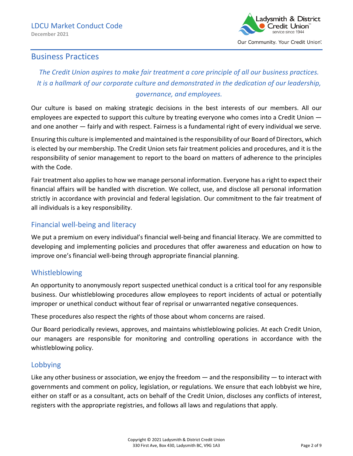

## Business Practices

# *The Credit Union aspires to make fair treatment a core principle of all our business practices. It is a hallmark of our corporate culture and demonstrated in the dedication of our leadership, governance, and employees.*

Our culture is based on making strategic decisions in the best interests of our members. All our employees are expected to support this culture by treating everyone who comes into a Credit Union and one another — fairly and with respect. Fairness is a fundamental right of every individual we serve.

Ensuring this culture is implemented and maintained is the responsibility of our Board of Directors, which is elected by our membership. The Credit Union sets fair treatment policies and procedures, and it is the responsibility of senior management to report to the board on matters of adherence to the principles with the Code.

Fair treatment also applies to how we manage personal information. Everyone has a right to expect their financial affairs will be handled with discretion. We collect, use, and disclose all personal information strictly in accordance with provincial and federal legislation. Our commitment to the fair treatment of all individuals is a key responsibility.

## Financial well-being and literacy

We put a premium on every individual's financial well-being and financial literacy. We are committed to developing and implementing policies and procedures that offer awareness and education on how to improve one's financial well-being through appropriate financial planning.

## Whistleblowing

An opportunity to anonymously report suspected unethical conduct is a critical tool for any responsible business. Our whistleblowing procedures allow employees to report incidents of actual or potentially improper or unethical conduct without fear of reprisal or unwarranted negative consequences.

These procedures also respect the rights of those about whom concerns are raised.

Our Board periodically reviews, approves, and maintains whistleblowing policies. At each Credit Union, our managers are responsible for monitoring and controlling operations in accordance with the whistleblowing policy.

## Lobbying

Like any other business or association, we enjoy the freedom  $-$  and the responsibility  $-$  to interact with governments and comment on policy, legislation, or regulations. We ensure that each lobbyist we hire, either on staff or as a consultant, acts on behalf of the Credit Union, discloses any conflicts of interest, registers with the appropriate registries, and follows all laws and regulations that apply.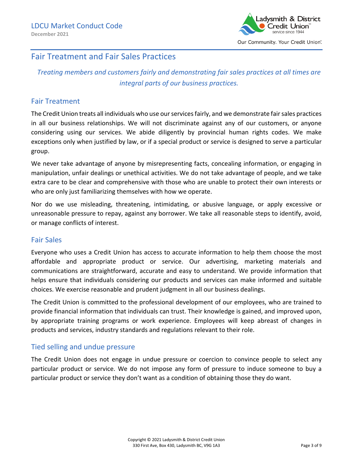

## Fair Treatment and Fair Sales Practices

*Treating members and customers fairly and demonstrating fair sales practices at all times are integral parts of our business practices.*

## Fair Treatment

The Credit Union treats all individuals who use our services fairly, and we demonstrate fair sales practices in all our business relationships. We will not discriminate against any of our customers, or anyone considering using our services. We abide diligently by provincial human rights codes. We make exceptions only when justified by law, or if a special product or service is designed to serve a particular group.

We never take advantage of anyone by misrepresenting facts, concealing information, or engaging in manipulation, unfair dealings or unethical activities. We do not take advantage of people, and we take extra care to be clear and comprehensive with those who are unable to protect their own interests or who are only just familiarizing themselves with how we operate.

Nor do we use misleading, threatening, intimidating, or abusive language, or apply excessive or unreasonable pressure to repay, against any borrower. We take all reasonable steps to identify, avoid, or manage conflicts of interest.

## Fair Sales

Everyone who uses a Credit Union has access to accurate information to help them choose the most affordable and appropriate product or service. Our advertising, marketing materials and communications are straightforward, accurate and easy to understand. We provide information that helps ensure that individuals considering our products and services can make informed and suitable choices. We exercise reasonable and prudent judgment in all our business dealings.

The Credit Union is committed to the professional development of our employees, who are trained to provide financial information that individuals can trust. Their knowledge is gained, and improved upon, by appropriate training programs or work experience. Employees will keep abreast of changes in products and services, industry standards and regulations relevant to their role.

## Tied selling and undue pressure

The Credit Union does not engage in undue pressure or coercion to convince people to select any particular product or service. We do not impose any form of pressure to induce someone to buy a particular product or service they don't want as a condition of obtaining those they do want.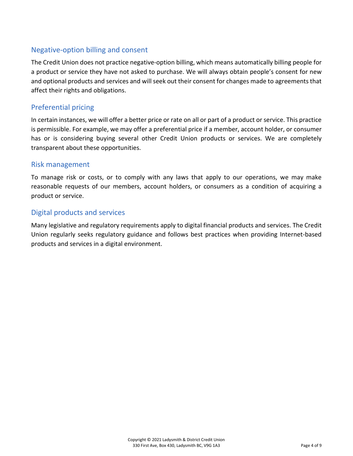## Negative-option billing and consent

The Credit Union does not practice negative-option billing, which means automatically billing people for a product or service they have not asked to purchase. We will always obtain people's consent for new and optional products and services and will seek out their consent for changes made to agreements that affect their rights and obligations.

## Preferential pricing

In certain instances, we will offer a better price or rate on all or part of a product or service. This practice is permissible. For example, we may offer a preferential price if a member, account holder, or consumer has or is considering buying several other Credit Union products or services. We are completely transparent about these opportunities.

#### Risk management

To manage risk or costs, or to comply with any laws that apply to our operations, we may make reasonable requests of our members, account holders, or consumers as a condition of acquiring a product or service.

## Digital products and services

Many legislative and regulatory requirements apply to digital financial products and services. The Credit Union regularly seeks regulatory guidance and follows best practices when providing Internet-based products and services in a digital environment.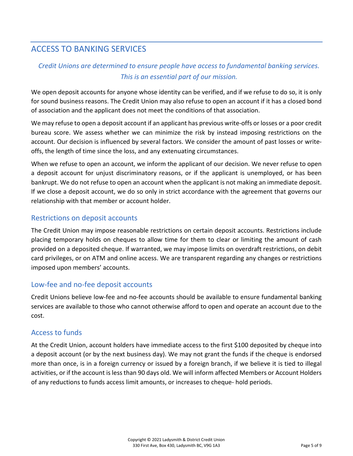# ACCESS TO BANKING SERVICES

## *Credit Unions are determined to ensure people have access to fundamental banking services. This is an essential part of our mission.*

We open deposit accounts for anyone whose identity can be verified, and if we refuse to do so, it is only for sound business reasons. The Credit Union may also refuse to open an account if it has a closed bond of association and the applicant does not meet the conditions of that association.

We may refuse to open a deposit account if an applicant has previous write-offs or losses or a poor credit bureau score. We assess whether we can minimize the risk by instead imposing restrictions on the account. Our decision is influenced by several factors. We consider the amount of past losses or writeoffs, the length of time since the loss, and any extenuating circumstances.

When we refuse to open an account, we inform the applicant of our decision. We never refuse to open a deposit account for unjust discriminatory reasons, or if the applicant is unemployed, or has been bankrupt. We do not refuse to open an account when the applicant is not making an immediate deposit. If we close a deposit account, we do so only in strict accordance with the agreement that governs our relationship with that member or account holder.

## Restrictions on deposit accounts

The Credit Union may impose reasonable restrictions on certain deposit accounts. Restrictions include placing temporary holds on cheques to allow time for them to clear or limiting the amount of cash provided on a deposited cheque. If warranted, we may impose limits on overdraft restrictions, on debit card privileges, or on ATM and online access. We are transparent regarding any changes or restrictions imposed upon members' accounts.

## Low-fee and no-fee deposit accounts

Credit Unions believe low-fee and no-fee accounts should be available to ensure fundamental banking services are available to those who cannot otherwise afford to open and operate an account due to the cost.

## Access to funds

At the Credit Union, account holders have immediate access to the first \$100 deposited by cheque into a deposit account (or by the next business day). We may not grant the funds if the cheque is endorsed more than once, is in a foreign currency or issued by a foreign branch, if we believe it is tied to illegal activities, or if the account is less than 90 days old. We will inform affected Members or Account Holders of any reductions to funds access limit amounts, or increases to cheque- hold periods.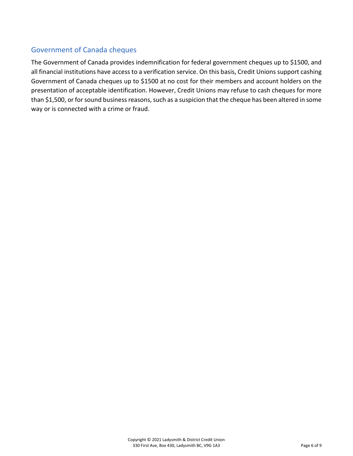## Government of Canada cheques

The Government of Canada provides indemnification for federal government cheques up to \$1500, and all financial institutions have access to a verification service. On this basis, Credit Unions support cashing Government of Canada cheques up to \$1500 at no cost for their members and account holders on the presentation of acceptable identification. However, Credit Unions may refuse to cash cheques for more than \$1,500, or for sound business reasons, such as a suspicion that the cheque has been altered in some way or is connected with a crime or fraud.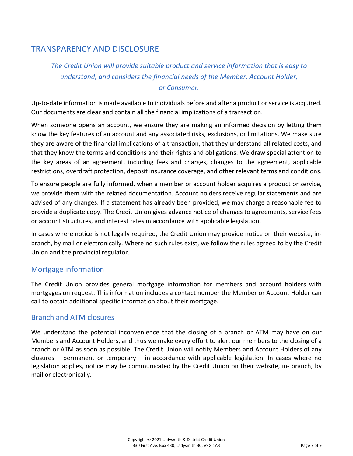# TRANSPARENCY AND DISCLOSURE

# *The Credit Union will provide suitable product and service information that is easy to understand, and considers the financial needs of the Member, Account Holder, or Consumer.*

Up-to-date information is made available to individuals before and after a product or service is acquired. Our documents are clear and contain all the financial implications of a transaction.

When someone opens an account, we ensure they are making an informed decision by letting them know the key features of an account and any associated risks, exclusions, or limitations. We make sure they are aware of the financial implications of a transaction, that they understand all related costs, and that they know the terms and conditions and their rights and obligations. We draw special attention to the key areas of an agreement, including fees and charges, changes to the agreement, applicable restrictions, overdraft protection, deposit insurance coverage, and other relevant terms and conditions.

To ensure people are fully informed, when a member or account holder acquires a product or service, we provide them with the related documentation. Account holders receive regular statements and are advised of any changes. If a statement has already been provided, we may charge a reasonable fee to provide a duplicate copy. The Credit Union gives advance notice of changes to agreements, service fees or account structures, and interest rates in accordance with applicable legislation.

In cases where notice is not legally required, the Credit Union may provide notice on their website, inbranch, by mail or electronically. Where no such rules exist, we follow the rules agreed to by the Credit Union and the provincial regulator.

## Mortgage information

The Credit Union provides general mortgage information for members and account holders with mortgages on request. This information includes a contact number the Member or Account Holder can call to obtain additional specific information about their mortgage.

## Branch and ATM closures

We understand the potential inconvenience that the closing of a branch or ATM may have on our Members and Account Holders, and thus we make every effort to alert our members to the closing of a branch or ATM as soon as possible. The Credit Union will notify Members and Account Holders of any closures – permanent or temporary – in accordance with applicable legislation. In cases where no legislation applies, notice may be communicated by the Credit Union on their website, in- branch, by mail or electronically.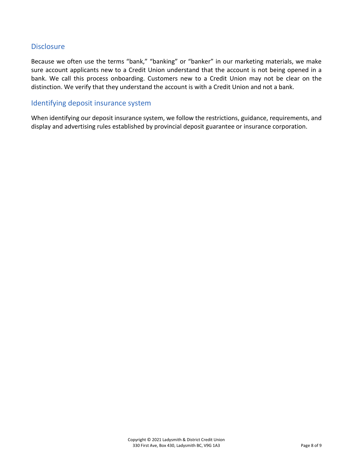## **Disclosure**

Because we often use the terms "bank," "banking" or "banker" in our marketing materials, we make sure account applicants new to a Credit Union understand that the account is not being opened in a bank. We call this process onboarding. Customers new to a Credit Union may not be clear on the distinction. We verify that they understand the account is with a Credit Union and not a bank.

## Identifying deposit insurance system

When identifying our deposit insurance system, we follow the restrictions, guidance, requirements, and display and advertising rules established by provincial deposit guarantee or insurance corporation.